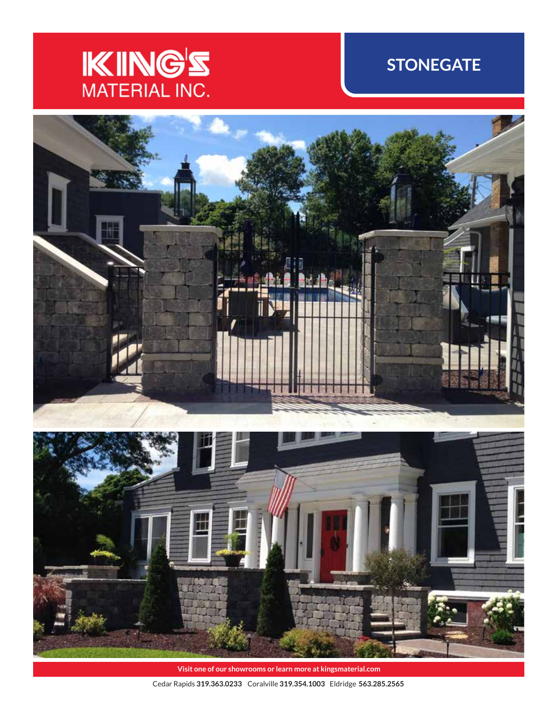# **KING'S**

## **STONEGATE**



**Visit one of our showrooms or learn more at kingsmaterial.com**

Cedar Rapids **319.363.0233** Coralville **319.354.1003** Eldridge **563.285.2565**